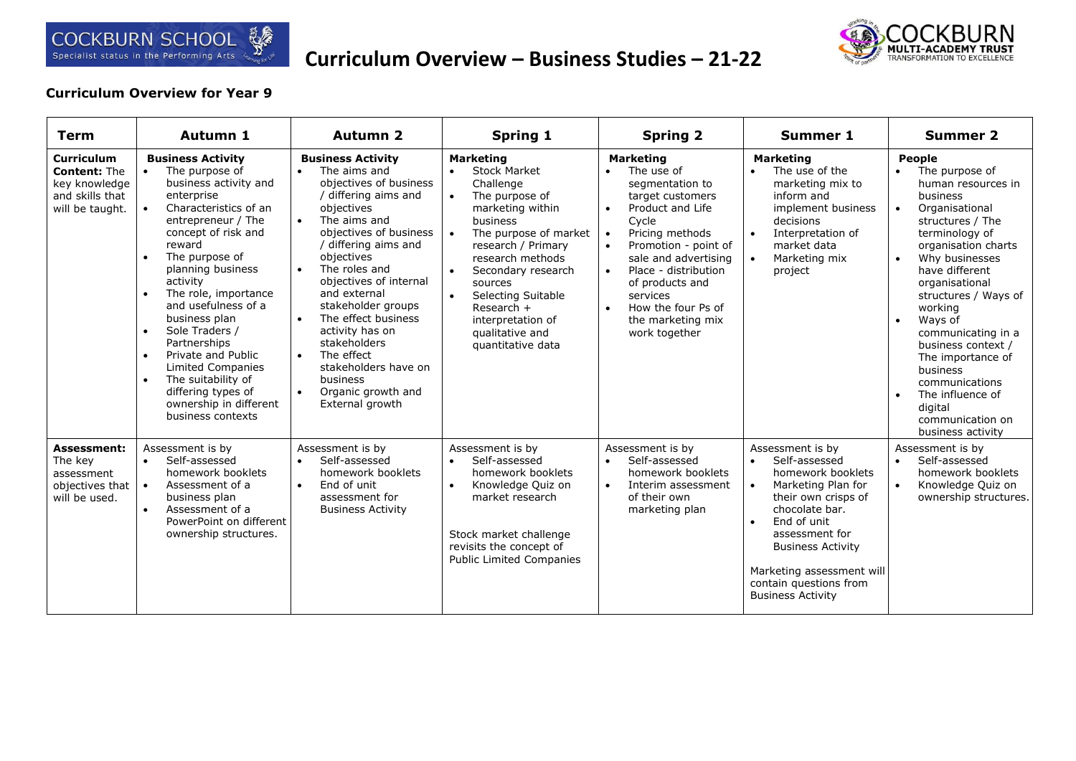

## **Curriculum Overview – Business Studies – 21-22**



## **Curriculum Overview for Year 9**

| Term                                                                                            | <b>Autumn 1</b>                                                                                                                                                                                                                                                                                                                                                                                                                                                                                                                      | <b>Autumn 2</b>                                                                                                                                                                                                                                                                                                                                                                                                                                                                                              | <b>Spring 1</b>                                                                                                                                                                                                                                                                                                                         | <b>Spring 2</b>                                                                                                                                                                                                                                                                                                                                                        | <b>Summer 1</b>                                                                                                                                                                                                                                                                                 | <b>Summer 2</b>                                                                                                                                                                                                                                                                                                                                                                                                                                                                       |
|-------------------------------------------------------------------------------------------------|--------------------------------------------------------------------------------------------------------------------------------------------------------------------------------------------------------------------------------------------------------------------------------------------------------------------------------------------------------------------------------------------------------------------------------------------------------------------------------------------------------------------------------------|--------------------------------------------------------------------------------------------------------------------------------------------------------------------------------------------------------------------------------------------------------------------------------------------------------------------------------------------------------------------------------------------------------------------------------------------------------------------------------------------------------------|-----------------------------------------------------------------------------------------------------------------------------------------------------------------------------------------------------------------------------------------------------------------------------------------------------------------------------------------|------------------------------------------------------------------------------------------------------------------------------------------------------------------------------------------------------------------------------------------------------------------------------------------------------------------------------------------------------------------------|-------------------------------------------------------------------------------------------------------------------------------------------------------------------------------------------------------------------------------------------------------------------------------------------------|---------------------------------------------------------------------------------------------------------------------------------------------------------------------------------------------------------------------------------------------------------------------------------------------------------------------------------------------------------------------------------------------------------------------------------------------------------------------------------------|
| <b>Curriculum</b><br><b>Content: The</b><br>key knowledge<br>and skills that<br>will be taught. | <b>Business Activity</b><br>The purpose of<br>business activity and<br>enterprise<br>Characteristics of an<br>entrepreneur / The<br>concept of risk and<br>reward<br>The purpose of<br>$\bullet$<br>planning business<br>activity<br>The role, importance<br>$\bullet$<br>and usefulness of a<br>business plan<br>Sole Traders /<br>$\bullet$<br>Partnerships<br>Private and Public<br>$\bullet$<br><b>Limited Companies</b><br>The suitability of<br>$\bullet$<br>differing types of<br>ownership in different<br>business contexts | <b>Business Activity</b><br>The aims and<br>$\bullet$<br>objectives of business<br>/ differing aims and<br>objectives<br>The aims and<br>$\bullet$<br>objectives of business<br>/ differing aims and<br>objectives<br>The roles and<br>$\bullet$<br>objectives of internal<br>and external<br>stakeholder groups<br>The effect business<br>$\bullet$<br>activity has on<br>stakeholders<br>The effect<br>$\bullet$<br>stakeholders have on<br>business<br>Organic growth and<br>$\bullet$<br>External growth | <b>Marketing</b><br><b>Stock Market</b><br>$\bullet$<br>Challenge<br>The purpose of<br>$\bullet$<br>marketing within<br>business<br>The purpose of market<br>research / Primary<br>research methods<br>Secondary research<br>sources<br>Selecting Suitable<br>Research $+$<br>interpretation of<br>qualitative and<br>quantitative data | <b>Marketing</b><br>The use of<br>$\bullet$<br>segmentation to<br>target customers<br>Product and Life<br>$\bullet$<br>Cycle<br>Pricing methods<br>$\bullet$<br>Promotion - point of<br>$\bullet$<br>sale and advertising<br>Place - distribution<br>$\bullet$<br>of products and<br>services<br>How the four Ps of<br>$\bullet$<br>the marketing mix<br>work together | <b>Marketing</b><br>The use of the<br>$\bullet$<br>marketing mix to<br>inform and<br>implement business<br>decisions<br>Interpretation of<br>$\bullet$<br>market data<br>Marketing mix<br>project                                                                                               | People<br>The purpose of<br>$\bullet$<br>human resources in<br>business<br>Organisational<br>$\bullet$<br>structures / The<br>terminology of<br>organisation charts<br>Why businesses<br>$\bullet$<br>have different<br>organisational<br>structures / Ways of<br>working<br>Ways of<br>$\bullet$<br>communicating in a<br>business context /<br>The importance of<br>business<br>communications<br>The influence of<br>$\bullet$<br>digital<br>communication on<br>business activity |
| <b>Assessment:</b><br>The key<br>assessment<br>objectives that<br>will be used.                 | Assessment is by<br>Self-assessed<br>$\bullet$<br>homework booklets<br>Assessment of a<br>business plan<br>Assessment of a<br>$\bullet$<br>PowerPoint on different<br>ownership structures.                                                                                                                                                                                                                                                                                                                                          | Assessment is by<br>Self-assessed<br>$\bullet$<br>homework booklets<br>End of unit<br>$\bullet$<br>assessment for<br><b>Business Activity</b>                                                                                                                                                                                                                                                                                                                                                                | Assessment is by<br>Self-assessed<br>$\bullet$<br>homework booklets<br>Knowledge Quiz on<br>$\bullet$<br>market research<br>Stock market challenge<br>revisits the concept of<br><b>Public Limited Companies</b>                                                                                                                        | Assessment is by<br>Self-assessed<br>$\bullet$<br>homework booklets<br>Interim assessment<br>$\bullet$<br>of their own<br>marketing plan                                                                                                                                                                                                                               | Assessment is by<br>Self-assessed<br>$\bullet$<br>homework booklets<br>Marketing Plan for<br>their own crisps of<br>chocolate bar.<br>End of unit<br>$\bullet$<br>assessment for<br><b>Business Activity</b><br>Marketing assessment will<br>contain questions from<br><b>Business Activity</b> | Assessment is by<br>Self-assessed<br>$\bullet$<br>homework booklets<br>Knowledge Quiz on<br>$\bullet$<br>ownership structures.                                                                                                                                                                                                                                                                                                                                                        |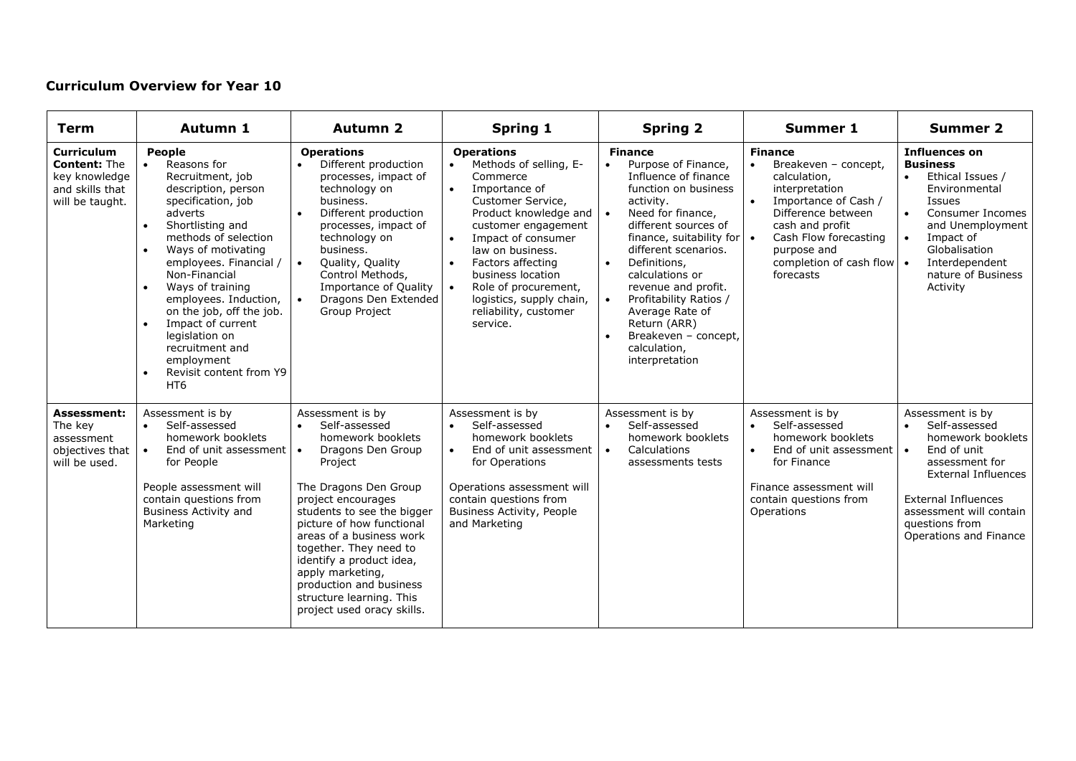## **Curriculum Overview for Year 10**

| <b>Term</b>                                                                                     | Autumn 1                                                                                                                                                                                                                                                                                                                                                                                                                                                          | <b>Autumn 2</b>                                                                                                                                                                                                                                                                                                                                                                                                       | <b>Spring 1</b>                                                                                                                                                                                                                                                                                                                                                                                 | <b>Spring 2</b>                                                                                                                                                                                                                                                                                                                                                                                                        | <b>Summer 1</b>                                                                                                                                                                                                                   | <b>Summer 2</b>                                                                                                                                                                                                                                                |
|-------------------------------------------------------------------------------------------------|-------------------------------------------------------------------------------------------------------------------------------------------------------------------------------------------------------------------------------------------------------------------------------------------------------------------------------------------------------------------------------------------------------------------------------------------------------------------|-----------------------------------------------------------------------------------------------------------------------------------------------------------------------------------------------------------------------------------------------------------------------------------------------------------------------------------------------------------------------------------------------------------------------|-------------------------------------------------------------------------------------------------------------------------------------------------------------------------------------------------------------------------------------------------------------------------------------------------------------------------------------------------------------------------------------------------|------------------------------------------------------------------------------------------------------------------------------------------------------------------------------------------------------------------------------------------------------------------------------------------------------------------------------------------------------------------------------------------------------------------------|-----------------------------------------------------------------------------------------------------------------------------------------------------------------------------------------------------------------------------------|----------------------------------------------------------------------------------------------------------------------------------------------------------------------------------------------------------------------------------------------------------------|
| <b>Curriculum</b><br><b>Content: The</b><br>key knowledge<br>and skills that<br>will be taught. | People<br>Reasons for<br>Recruitment, job<br>description, person<br>specification, job<br>adverts<br>Shortlisting and<br>$\bullet$<br>methods of selection<br>Ways of motivating<br>$\bullet$<br>employees. Financial /<br>Non-Financial<br>Ways of training<br>$\bullet$<br>employees. Induction,<br>on the job, off the job.<br>Impact of current<br>legislation on<br>recruitment and<br>employment<br>Revisit content from Y9<br>$\bullet$<br>HT <sub>6</sub> | <b>Operations</b><br>Different production<br>$\bullet$<br>processes, impact of<br>technology on<br>business.<br>Different production<br>$\bullet$<br>processes, impact of<br>technology on<br>business.<br>$\bullet$<br>Quality, Quality<br>Control Methods,<br>Importance of Quality<br>Dragons Den Extended<br>$\bullet$<br>Group Project                                                                           | <b>Operations</b><br>Methods of selling, E-<br>$\bullet$<br>Commerce<br>$\bullet$<br>Importance of<br>Customer Service,<br>Product knowledge and   •<br>customer engagement<br>Impact of consumer<br>$\bullet$<br>law on business.<br>Factors affecting<br>$\bullet$<br>business location<br>Role of procurement,<br>$\bullet$<br>logistics, supply chain,<br>reliability, customer<br>service. | <b>Finance</b><br>Purpose of Finance,<br>Influence of finance<br>function on business<br>activity.<br>Need for finance,<br>different sources of<br>finance, suitability for $\cdot$<br>different scenarios.<br>Definitions,<br>$\bullet$<br>calculations or<br>revenue and profit.<br>Profitability Ratios /<br>$\bullet$<br>Average Rate of<br>Return (ARR)<br>Breakeven - concept,<br>calculation,<br>interpretation | <b>Finance</b><br>Breakeven - concept,<br>calculation,<br>interpretation<br>Importance of Cash /<br>Difference between<br>cash and profit<br>Cash Flow forecasting<br>purpose and<br>completion of cash flow $\cdot$<br>forecasts | <b>Influences on</b><br><b>Business</b><br>Ethical Issues /<br>$\bullet$<br>Environmental<br><b>Issues</b><br>Consumer Incomes<br>$\bullet$<br>and Unemployment<br>Impact of<br>$\bullet$<br>Globalisation<br>Interdependent<br>nature of Business<br>Activity |
| <b>Assessment:</b><br>The key<br>assessment<br>objectives that<br>will be used.                 | Assessment is by<br>Self-assessed<br>$\bullet$<br>homework booklets<br>End of unit assessment<br>for People<br>People assessment will<br>contain questions from<br><b>Business Activity and</b><br>Marketing                                                                                                                                                                                                                                                      | Assessment is by<br>Self-assessed<br>$\bullet$<br>homework booklets<br>Dragons Den Group<br>$\bullet$<br>Project<br>The Dragons Den Group<br>project encourages<br>students to see the bigger<br>picture of how functional<br>areas of a business work<br>together. They need to<br>identify a product idea,<br>apply marketing,<br>production and business<br>structure learning. This<br>project used oracy skills. | Assessment is by<br>Self-assessed<br>$\bullet$<br>homework booklets<br>End of unit assessment<br>$\bullet$<br>for Operations<br>Operations assessment will<br>contain questions from<br>Business Activity, People<br>and Marketing                                                                                                                                                              | Assessment is by<br>Self-assessed<br>homework booklets<br>Calculations<br>$\bullet$<br>assessments tests                                                                                                                                                                                                                                                                                                               | Assessment is by<br>Self-assessed<br>$\bullet$<br>homework booklets<br>End of unit assessment<br>for Finance<br>Finance assessment will<br>contain questions from<br>Operations                                                   | Assessment is by<br>Self-assessed<br>$\bullet$<br>homework booklets<br>End of unit<br>$\bullet$<br>assessment for<br><b>External Influences</b><br>External Influences<br>assessment will contain<br>questions from<br>Operations and Finance                  |